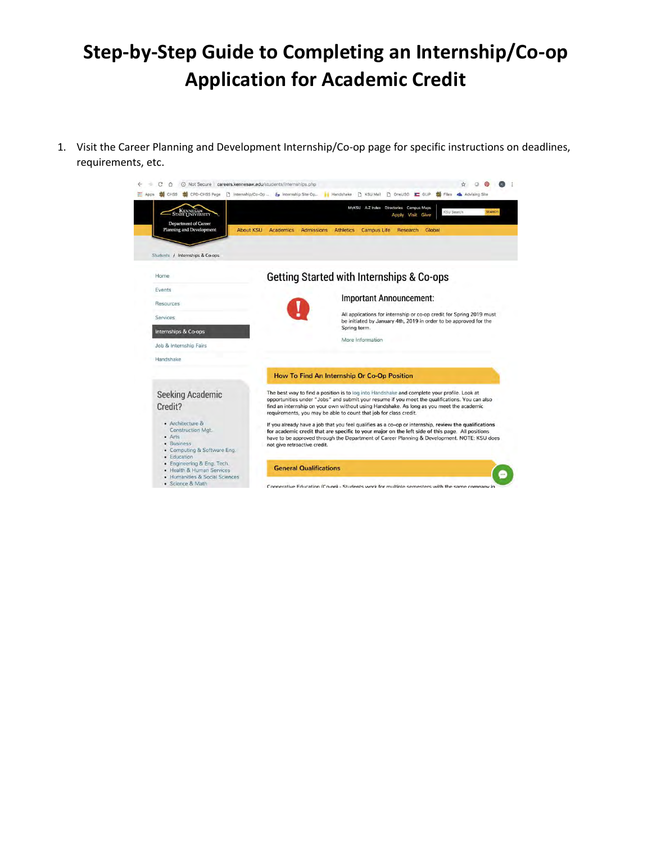## **Step-by-Step Guide to Completing an Internship/Co-op Application for Academic Credit**

1. Visit the Career Planning and Development Internship/Co-op page for specific instructions on deadlines, requirements, etc.

| <b>KENNESAW</b><br>STATE UNIVERSITY<br><b>Department of Career</b>                                                   | MyKSU A-Z Index Directories Campus Maps<br><b>SEARCH</b><br><b>KSU Search</b><br>Visit Give<br>Apply                                                                                                                                                                                                                                                           |
|----------------------------------------------------------------------------------------------------------------------|----------------------------------------------------------------------------------------------------------------------------------------------------------------------------------------------------------------------------------------------------------------------------------------------------------------------------------------------------------------|
| Planning and Development<br><b>About KSU</b><br>Students / Internships & Co-ops                                      | Admissions<br><b>Campus Life Research</b><br>Global<br>Academics<br><b>Athletics</b>                                                                                                                                                                                                                                                                           |
| Home                                                                                                                 | Getting Started with Internships & Co-ops                                                                                                                                                                                                                                                                                                                      |
| Events<br>Resources                                                                                                  | <b>Important Announcement:</b>                                                                                                                                                                                                                                                                                                                                 |
| <b>Services</b>                                                                                                      | All applications for internship or co-op credit for Spring 2019 must<br>be initiated by January 4th, 2019 in order to be approved for the                                                                                                                                                                                                                      |
| Internships & Co-ops                                                                                                 | Spring term.<br>More Information                                                                                                                                                                                                                                                                                                                               |
| Job & Internship Fairs<br>Handshake                                                                                  |                                                                                                                                                                                                                                                                                                                                                                |
|                                                                                                                      | How To Find An Internship Or Co-Op Position                                                                                                                                                                                                                                                                                                                    |
| Seeking Academic<br>Credit?                                                                                          | The best way to find a position is to log into Handshake and complete your profile. Look at<br>opportunities under "Jobs" and submit your resume if you meet the qualifications. You can also<br>find an internship on your own without using Handshake. As long as you meet the academic<br>requirements, you may be able to count that job for class credit. |
| • Architecture &<br><b>Construction Mgt.</b><br>$•$ Arts<br>· Business<br>• Computing & Software Eng.<br>· Education | If you already have a job that you feel qualifies as a co-op or internship, review the qualifications<br>for academic credit that are specific to your major on the left side of this page. All positions<br>have to be approved through the Department of Career Planning & Development. NOTE: KSU does<br>not give retroactive credit.                       |
| · Engineering & Eng. Tech.<br>• Health & Human Services<br>· Humanities & Social Sciences                            | <b>General Qualifications</b>                                                                                                                                                                                                                                                                                                                                  |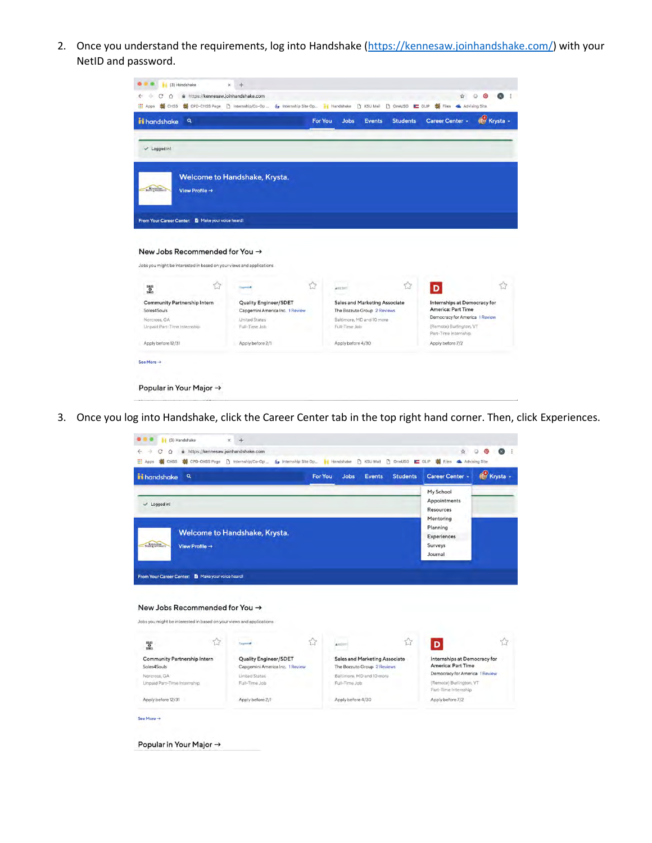2. Once you understand the requirements, log into Handshake [\(https://kennesaw.joinhandshake.com/\)](https://kennesaw.joinhandshake.com/) with your NetID and password.

| <b>ii</b> handshake<br>Q                                                                                                                                                                 |                                                  | <b>For You</b>         | <b>Jobs</b><br><b>Events</b>               | <b>Students</b> | Career Center -                                      | Krysta - |
|------------------------------------------------------------------------------------------------------------------------------------------------------------------------------------------|--------------------------------------------------|------------------------|--------------------------------------------|-----------------|------------------------------------------------------|----------|
| $\checkmark$ Logged in!                                                                                                                                                                  |                                                  |                        |                                            |                 |                                                      |          |
| Stat Division                                                                                                                                                                            | Welcome to Handshake, Krysta.                    |                        |                                            |                 |                                                      |          |
| View Profile $\rightarrow$                                                                                                                                                               |                                                  |                        |                                            |                 |                                                      |          |
|                                                                                                                                                                                          |                                                  |                        |                                            |                 |                                                      |          |
|                                                                                                                                                                                          |                                                  |                        |                                            |                 |                                                      |          |
|                                                                                                                                                                                          |                                                  |                        |                                            |                 |                                                      |          |
|                                                                                                                                                                                          |                                                  |                        |                                            |                 |                                                      |          |
| From Your Career Center: B Make your voice heard!<br>New Jobs Recommended for You $\rightarrow$                                                                                          |                                                  |                        |                                            |                 |                                                      |          |
|                                                                                                                                                                                          |                                                  |                        |                                            |                 |                                                      |          |
| snus<br>snus                                                                                                                                                                             | ☆                                                | ☆<br>$\triangle$ GEANT |                                            | $\approx$       | D                                                    | 53       |
|                                                                                                                                                                                          | Quality Engineer/SDET                            |                        | <b>Sales and Marketing Associate</b>       |                 | Internships at Democracy for                         |          |
|                                                                                                                                                                                          | Capgemini America Inc. 1 Review<br>United States |                        | The Bozzuto Group 2 Reviews                |                 | America: Part Time<br>Democracy for America 1 Review |          |
|                                                                                                                                                                                          | Full-Time Job.                                   |                        | Baltimore, MD and 10 more<br>Full-Time Job |                 | (Remote) Burlington, VT<br>Part-Time Internship.     |          |
| Jobs you might be interested in based on your views and applications<br>Community Partnership Intern<br>Soles4Souls<br>Norcross, GA<br>Unpaid Part-Time Internship<br>Apply before 12/31 | Apply before 2/1                                 |                        | Apply before 4/30                          |                 | Apply before 7/2                                     |          |

3. Once you log into Handshake, click the Career Center tab in the top right hand corner. Then, click Experiences.

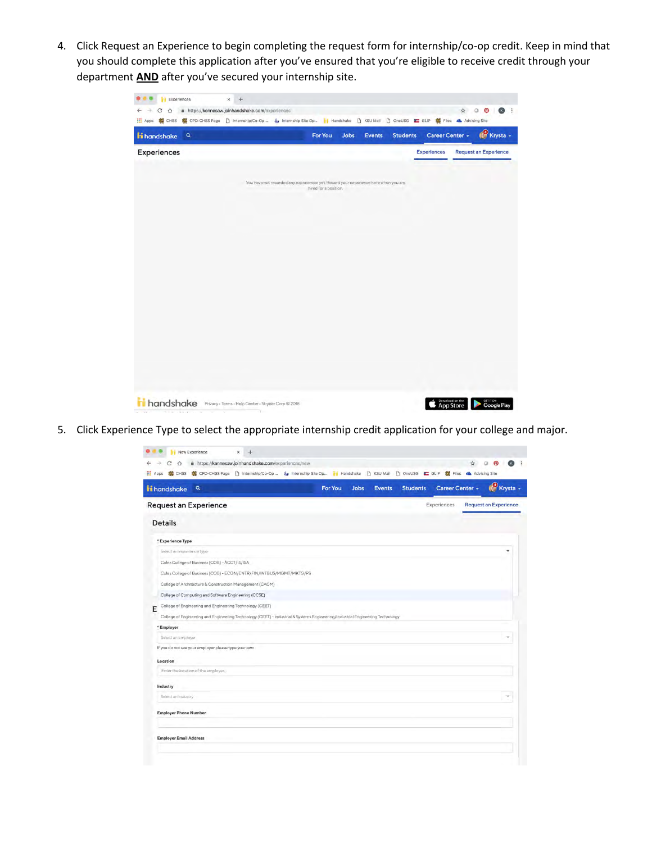4. Click Request an Experience to begin completing the request form for internship/co-op credit. Keep in mind that you should complete this application after you've ensured that you're eligible to receive credit through your department **AND** after you've secured your internship site.

| Experiences<br>$\boldsymbol{\times}$<br>$\pm$                                                                                                                                                                                       |                                                                                     |                       |      |        |                 |                    |                    |                                 |
|-------------------------------------------------------------------------------------------------------------------------------------------------------------------------------------------------------------------------------------|-------------------------------------------------------------------------------------|-----------------------|------|--------|-----------------|--------------------|--------------------|---------------------------------|
| A https://kennesaw.joinhandshake.com/experiences<br>C<br>$\triangle$<br>←<br>※ CHSS ※ CPD-CHSS Page □ Internship/Co-Op  《y Internship Site Op  /v   Handshake □ KSU Mail □ OneUSG ■ GLIP ※ Files ▲ Advising Site<br><b>III</b> Apps |                                                                                     |                       |      |        |                 |                    | a<br>$\frac{1}{2}$ | $\ddot{ }$<br>ဨ<br>$\mathbf{E}$ |
| ii handshake<br>$\mathbf{Q}$                                                                                                                                                                                                        |                                                                                     | For You               | Jobs | Events | <b>Students</b> | Career Center +    |                    | Krysta -                        |
| <b>Experiences</b>                                                                                                                                                                                                                  |                                                                                     |                       |      |        |                 | <b>Experiences</b> |                    | <b>Request an Experience</b>    |
|                                                                                                                                                                                                                                     |                                                                                     |                       |      |        |                 |                    |                    |                                 |
|                                                                                                                                                                                                                                     | You have not recorded any experiences yet. Record your experience here when you are | hired for a position. |      |        |                 |                    |                    |                                 |
|                                                                                                                                                                                                                                     |                                                                                     |                       |      |        |                 |                    |                    |                                 |
|                                                                                                                                                                                                                                     |                                                                                     |                       |      |        |                 |                    |                    |                                 |
|                                                                                                                                                                                                                                     |                                                                                     |                       |      |        |                 |                    |                    |                                 |
|                                                                                                                                                                                                                                     |                                                                                     |                       |      |        |                 |                    |                    |                                 |
|                                                                                                                                                                                                                                     |                                                                                     |                       |      |        |                 |                    |                    |                                 |
|                                                                                                                                                                                                                                     |                                                                                     |                       |      |        |                 |                    |                    |                                 |
|                                                                                                                                                                                                                                     |                                                                                     |                       |      |        |                 |                    |                    |                                 |
|                                                                                                                                                                                                                                     |                                                                                     |                       |      |        |                 |                    |                    |                                 |
|                                                                                                                                                                                                                                     |                                                                                     |                       |      |        |                 |                    |                    |                                 |
|                                                                                                                                                                                                                                     |                                                                                     |                       |      |        |                 |                    |                    |                                 |
|                                                                                                                                                                                                                                     |                                                                                     |                       |      |        |                 |                    |                    |                                 |
|                                                                                                                                                                                                                                     |                                                                                     |                       |      |        |                 |                    |                    |                                 |
|                                                                                                                                                                                                                                     |                                                                                     |                       |      |        |                 |                    |                    |                                 |
| handshake<br>Privacy - Terms - Help Center - Stryder Corp @ 2018<br>$10 - 100$<br>No Police<br>Alle and<br>$\sim$<br>$\sim$                                                                                                         | n.                                                                                  |                       |      |        |                 | Download on the    |                    | <b>GETITON</b><br>Google Play   |

5. Click Experience Type to select the appropriate internship credit application for your college and major.

| ii handshake<br>$\mathbf{Q}$                                                                                                                                                              | <b>For You</b><br><b>Jobs</b><br><b>Events</b> | Career Center -<br><b>Students</b> | Krysta -                     |
|-------------------------------------------------------------------------------------------------------------------------------------------------------------------------------------------|------------------------------------------------|------------------------------------|------------------------------|
| <b>Request an Experience</b>                                                                                                                                                              |                                                | Experiences                        | <b>Request an Experience</b> |
| <b>Details</b>                                                                                                                                                                            |                                                |                                    |                              |
| * Experience Type                                                                                                                                                                         |                                                |                                    |                              |
| Select an experience type-                                                                                                                                                                |                                                |                                    | ٠                            |
| Coles College of Business (COB) - ACCT/IS/ISA                                                                                                                                             |                                                |                                    |                              |
| Coles College of Business (COB) - ECON/ENTR/FIN/INTBUS/MGMT/MKTG/PS                                                                                                                       |                                                |                                    |                              |
|                                                                                                                                                                                           |                                                |                                    |                              |
| College of Architecture & Construction Management (CACM)                                                                                                                                  |                                                |                                    |                              |
| College of Computing and Software Engineering (CCSE)                                                                                                                                      |                                                |                                    |                              |
| College of Engineering and Engineering Technology (CEET)<br>College of Engineering and Engineering Technology (CEET) - Industrial & Systems Engineering/Industrial Engineering Technology |                                                |                                    |                              |
| * Employer                                                                                                                                                                                |                                                |                                    |                              |
| Select an employer                                                                                                                                                                        |                                                |                                    |                              |
| If you do not see your employer please type your own                                                                                                                                      |                                                |                                    |                              |
| Location                                                                                                                                                                                  |                                                |                                    |                              |
| Enter the location of the employer                                                                                                                                                        |                                                |                                    |                              |
|                                                                                                                                                                                           |                                                |                                    |                              |
| Industry<br>Select an industry                                                                                                                                                            |                                                |                                    |                              |
| E<br><b>Employer Phone Number</b>                                                                                                                                                         |                                                |                                    |                              |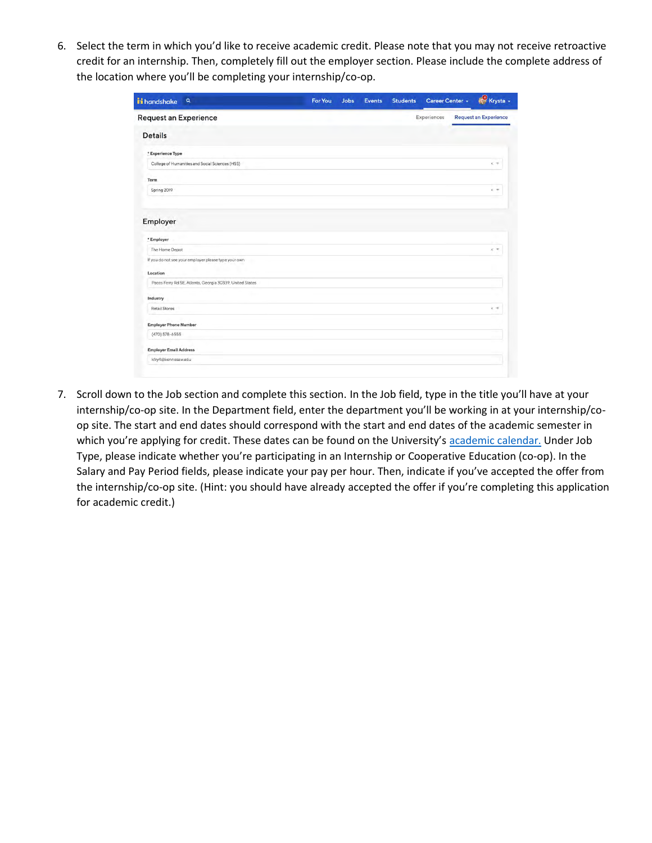6. Select the term in which you'd like to receive academic credit. Please note that you may not receive retroactive credit for an internship. Then, completely fill out the employer section. Please include the complete address of the location where you'll be completing your internship/co-op.

| ii handshake<br>$\mathbf{Q}$                             | For You | <b>Jobs</b> | <b>Events</b> | <b>Students</b> | Career Center + | Krysta -                     |
|----------------------------------------------------------|---------|-------------|---------------|-----------------|-----------------|------------------------------|
| Request an Experience                                    |         |             |               |                 | Experiences     | <b>Request an Experience</b> |
| <b>Details</b>                                           |         |             |               |                 |                 |                              |
| * Experience Type                                        |         |             |               |                 |                 |                              |
| College of Humanities and Social Sciences (HSS)          |         |             |               |                 |                 | <b>K 甲</b>                   |
| Term                                                     |         |             |               |                 |                 |                              |
| Spring 2019                                              |         |             |               |                 |                 | $x =$                        |
| Employer                                                 |         |             |               |                 |                 |                              |
| * Employer<br>The Home Depot                             |         |             |               |                 |                 | $x -$                        |
| If you do not see your employer please type your own     |         |             |               |                 |                 |                              |
| Location                                                 |         |             |               |                 |                 |                              |
| Paces Ferry Rd SE, Atlanta, Georgia 30339, United States |         |             |               |                 |                 |                              |
| Industry                                                 |         |             |               |                 |                 |                              |
| <b>Retail Stores</b>                                     |         |             |               |                 |                 | $x -$                        |
| <b>Employer Phone Number</b>                             |         |             |               |                 |                 |                              |
| $(470) 578 - 6555$                                       |         |             |               |                 |                 |                              |
| <b>Employer Email Address</b>                            |         |             |               |                 |                 |                              |
| kfry4@kennesaw.edu                                       |         |             |               |                 |                 |                              |

7. Scroll down to the Job section and complete this section. In the Job field, type in the title you'll have at your internship/co-op site. In the Department field, enter the department you'll be working in at your internship/coop site. The start and end dates should correspond with the start and end dates of the academic semester in which you're applying for credit. These dates can be found on the University's [academic calendar.](http://registrar.kennesaw.edu/academiccalendar/spring2018.php) Under Job Type, please indicate whether you're participating in an Internship or Cooperative Education (co-op). In the Salary and Pay Period fields, please indicate your pay per hour. Then, indicate if you've accepted the offer from the internship/co-op site. (Hint: you should have already accepted the offer if you're completing this application for academic credit.)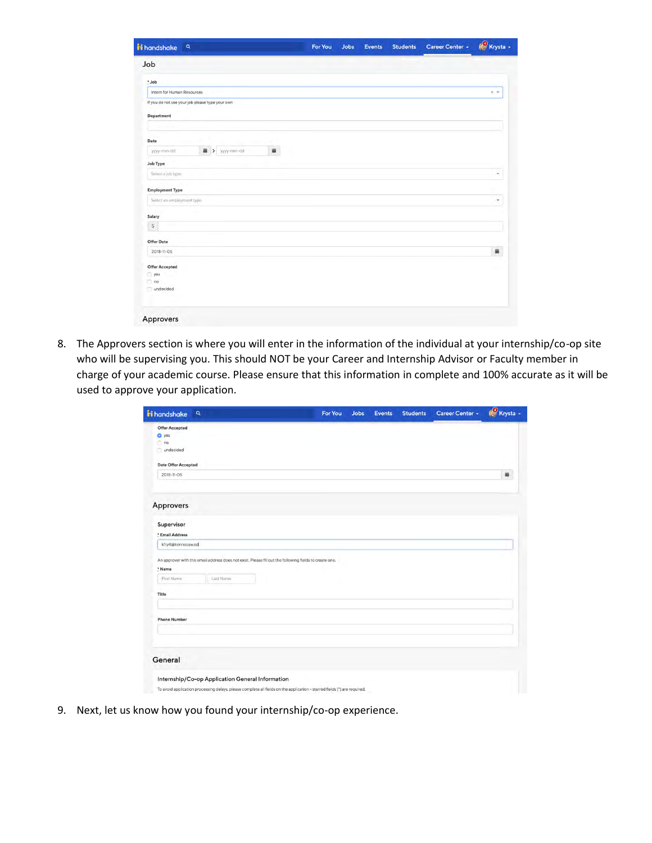|  |  | K. W. |
|--|--|-------|
|  |  |       |
|  |  |       |
|  |  |       |
|  |  |       |
|  |  |       |
|  |  |       |
|  |  |       |
|  |  | ٠     |
|  |  |       |
|  |  |       |
|  |  |       |
|  |  | 首     |
|  |  |       |
|  |  |       |
|  |  |       |
|  |  |       |
|  |  |       |
|  |  |       |

8. The Approvers section is where you will enter in the information of the individual at your internship/co-op site who will be supervising you. This should NOT be your Career and Internship Advisor or Faculty member in charge of your academic course. Please ensure that this information in complete and 100% accurate as it will be used to approve your application.

| <b>ii</b> handshake<br>$\mathbf{Q}$                                                     |           | For You                                                                                                                  | <b>Jobs</b> | <b>Events</b> | <b>Students</b> | Career Center + | Krysta - |
|-----------------------------------------------------------------------------------------|-----------|--------------------------------------------------------------------------------------------------------------------------|-------------|---------------|-----------------|-----------------|----------|
| Offer Accepted                                                                          |           |                                                                                                                          |             |               |                 |                 |          |
| O yes<br>n <sub>o</sub>                                                                 |           |                                                                                                                          |             |               |                 |                 |          |
| undecided                                                                               |           |                                                                                                                          |             |               |                 |                 |          |
|                                                                                         |           |                                                                                                                          |             |               |                 |                 |          |
| Date Offer Accepted                                                                     |           |                                                                                                                          |             |               |                 |                 |          |
| 2018-11-05                                                                              |           |                                                                                                                          |             |               |                 |                 | 蓋        |
| Approvers<br>Supervisor<br>* Email Address<br>kfry4@kennesaw.ed<br>* Name<br>First Name | Last Name | An approver with this email address does not exist. Please fill out the following fields to create one.                  |             |               |                 |                 |          |
| Title                                                                                   |           |                                                                                                                          |             |               |                 |                 |          |
|                                                                                         |           |                                                                                                                          |             |               |                 |                 |          |
| <b>Phone Number</b>                                                                     |           |                                                                                                                          |             |               |                 |                 |          |
|                                                                                         |           |                                                                                                                          |             |               |                 |                 |          |
|                                                                                         |           |                                                                                                                          |             |               |                 |                 |          |
| General                                                                                 |           |                                                                                                                          |             |               |                 |                 |          |
|                                                                                         |           |                                                                                                                          |             |               |                 |                 |          |
| Internship/Co-op Application General Information                                        |           |                                                                                                                          |             |               |                 |                 |          |
|                                                                                         |           | To avoid application processing delays, please complete all fields on the application - starred fields (*) are required. |             |               |                 |                 |          |

9. Next, let us know how you found your internship/co-op experience.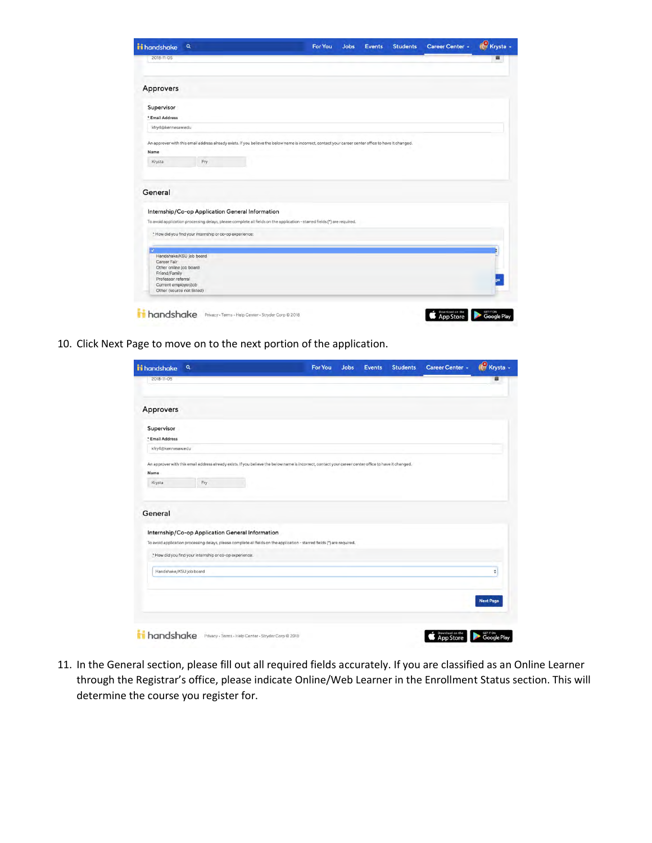|                                                                                                                    | Q                                                       |                                                  | <b>For You</b>                                                                                                           | <b>Jobs</b> | <b>Events</b> | <b>Students</b> | Career Center + | C Krysta - |
|--------------------------------------------------------------------------------------------------------------------|---------------------------------------------------------|--------------------------------------------------|--------------------------------------------------------------------------------------------------------------------------|-------------|---------------|-----------------|-----------------|------------|
| 2018-11-05                                                                                                         |                                                         |                                                  |                                                                                                                          |             |               |                 |                 |            |
| Approvers                                                                                                          |                                                         |                                                  |                                                                                                                          |             |               |                 |                 |            |
| Supervisor                                                                                                         |                                                         |                                                  |                                                                                                                          |             |               |                 |                 |            |
| * Email Address                                                                                                    |                                                         |                                                  |                                                                                                                          |             |               |                 |                 |            |
| kfry4@kennesaw.edu                                                                                                 |                                                         |                                                  |                                                                                                                          |             |               |                 |                 |            |
| Name<br>Krysta                                                                                                     | Fry                                                     |                                                  |                                                                                                                          |             |               |                 |                 |            |
|                                                                                                                    |                                                         |                                                  |                                                                                                                          |             |               |                 |                 |            |
|                                                                                                                    |                                                         |                                                  |                                                                                                                          |             |               |                 |                 |            |
|                                                                                                                    |                                                         | Internship/Co-op Application General Information | To avoid application processing delays, please complete all fields on the application - starred fields (*) are required. |             |               |                 |                 |            |
|                                                                                                                    | * How did you find your internship or co-op experience: |                                                  |                                                                                                                          |             |               |                 |                 |            |
| General<br>Handshake/KSU job board<br>Career Fair<br>Other online job board<br>Friend/Family<br>Professor referral |                                                         |                                                  |                                                                                                                          |             |               |                 |                 |            |

10. Click Next Page to move on to the next portion of the application.

| <b>ii</b> handshake                                         | Q   |  |                                                                                                                                                       | <b>For You</b> | Jobs | <b>Events</b> | <b>Students</b> | Career Center +              | Krysta -                        |
|-------------------------------------------------------------|-----|--|-------------------------------------------------------------------------------------------------------------------------------------------------------|----------------|------|---------------|-----------------|------------------------------|---------------------------------|
| 2018-11-05                                                  |     |  |                                                                                                                                                       |                |      |               |                 |                              |                                 |
| Approvers                                                   |     |  |                                                                                                                                                       |                |      |               |                 |                              |                                 |
| Supervisor<br>* Email Address                               |     |  |                                                                                                                                                       |                |      |               |                 |                              |                                 |
| kfry4@kennesaw.edu                                          |     |  |                                                                                                                                                       |                |      |               |                 |                              |                                 |
| Name                                                        |     |  | An approver with this email address already exists. If you believe the below name is incorrect, contact your career center office to have it changed. |                |      |               |                 |                              |                                 |
| Krysta                                                      | Fry |  |                                                                                                                                                       |                |      |               |                 |                              |                                 |
| General<br>Internship/Co-op Application General Information |     |  | To avoid application processing delays, please complete all fields on the application - starred fields (*) are required.                              |                |      |               |                 |                              |                                 |
| * How did you find your internship or co-op experience:     |     |  |                                                                                                                                                       |                |      |               |                 |                              |                                 |
| Handshake/KSU job board                                     |     |  |                                                                                                                                                       |                |      |               |                 |                              | ÷                               |
|                                                             |     |  |                                                                                                                                                       |                |      |               |                 |                              | <b>Next Page</b>                |
| handshake                                                   |     |  | Privacy - Terms - Help Center - Stryder Corp @ 2018                                                                                                   |                |      |               |                 | Download on the<br>App Store | <b>GET IT ON</b><br>Google Play |

11. In the General section, please fill out all required fields accurately. If you are classified as an Online Learner through the Registrar's office, please indicate Online/Web Learner in the Enrollment Status section. This will determine the course you register for.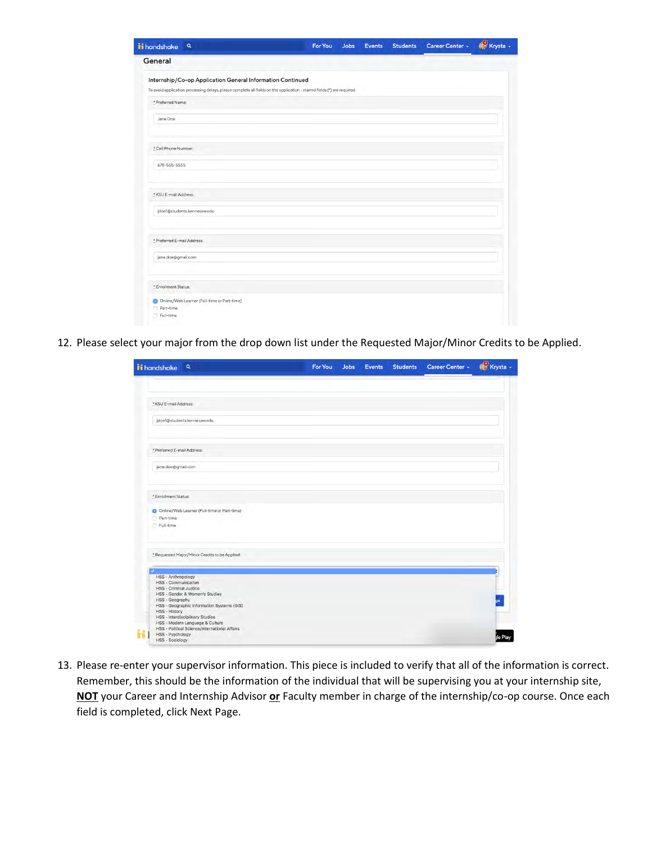| ii handshake<br>$\alpha$                                                                                                 | <b>For You</b> | <b>Jobs</b> | <b>Events</b> | <b>Students</b> | Career Center - | Krysta - |
|--------------------------------------------------------------------------------------------------------------------------|----------------|-------------|---------------|-----------------|-----------------|----------|
| General                                                                                                                  |                |             |               |                 |                 |          |
| Internship/Co-op Application General Information Continued                                                               |                |             |               |                 |                 |          |
| To avoid application processing delays, please complete all fields on the application - starred fields (*) are required. |                |             |               |                 |                 |          |
| * Preferred Name:                                                                                                        |                |             |               |                 |                 |          |
| Jane Doe                                                                                                                 |                |             |               |                 |                 |          |
| * Cell Phone Number:                                                                                                     |                |             |               |                 |                 |          |
| 678-555-5555                                                                                                             |                |             |               |                 |                 |          |
| * KSU E-mail Address:                                                                                                    |                |             |               |                 |                 |          |
| jdoe1@students.kennesaw.edu                                                                                              |                |             |               |                 |                 |          |
| * Preferred E-mail Address:                                                                                              |                |             |               |                 |                 |          |
| jane.doe@gmail.com                                                                                                       |                |             |               |                 |                 |          |
| * Enrollment Status:                                                                                                     |                |             |               |                 |                 |          |
| Online/Web Learner (Full-time or Part-time)<br>Part-time<br>n<br>Full-time                                               |                |             |               |                 |                 |          |

12. Please select your major from the drop down list under the Requested Major/Minor Credits to be Applied.

| ii handshake Q                                                                                                                                                                                                                    | For You | <b>Jobs</b> | Events | Students Career Center + | Krysta - |
|-----------------------------------------------------------------------------------------------------------------------------------------------------------------------------------------------------------------------------------|---------|-------------|--------|--------------------------|----------|
|                                                                                                                                                                                                                                   |         |             |        |                          |          |
| * KSU E-mail Address:                                                                                                                                                                                                             |         |             |        |                          |          |
| jdoe1@students.kennesaw.edu                                                                                                                                                                                                       |         |             |        |                          |          |
| * Preferred E-mail Address:                                                                                                                                                                                                       |         |             |        |                          |          |
| jane.doe@gmail.com                                                                                                                                                                                                                |         |             |        |                          |          |
| * Enrollment Status:                                                                                                                                                                                                              |         |             |        |                          |          |
| O Online/Web Learner (Full-time or Part-time)<br>Part-time<br>Full-time                                                                                                                                                           |         |             |        |                          |          |
| * Requested Major/Minor Credits to be Applied:                                                                                                                                                                                    |         |             |        |                          |          |
| <b>HSS - Anthropology</b><br>HSS - Communication<br>HSS - Criminal Justice<br>HSS - Gender & Women's Studies<br>HSS - Geography<br>HSS - Geographic Information Systems (GIS)<br>HSS - History<br>HSS - Interdisciplinary Studies |         |             |        |                          |          |
| HSS - Modern Language & Culture<br>HSS - Political Science/International Affairs<br><b>HSS - Psychology</b><br><b>HSS - Sociology</b>                                                                                             |         |             |        |                          |          |

13. Please re-enter your supervisor information. This piece is included to verify that all of the information is correct. Remember, this should be the information of the individual that will be supervising you at your internship site, **NOT** your Career and Internship Advisor **or** Faculty member in charge of the internship/co-op course. Once each field is completed, click Next Page.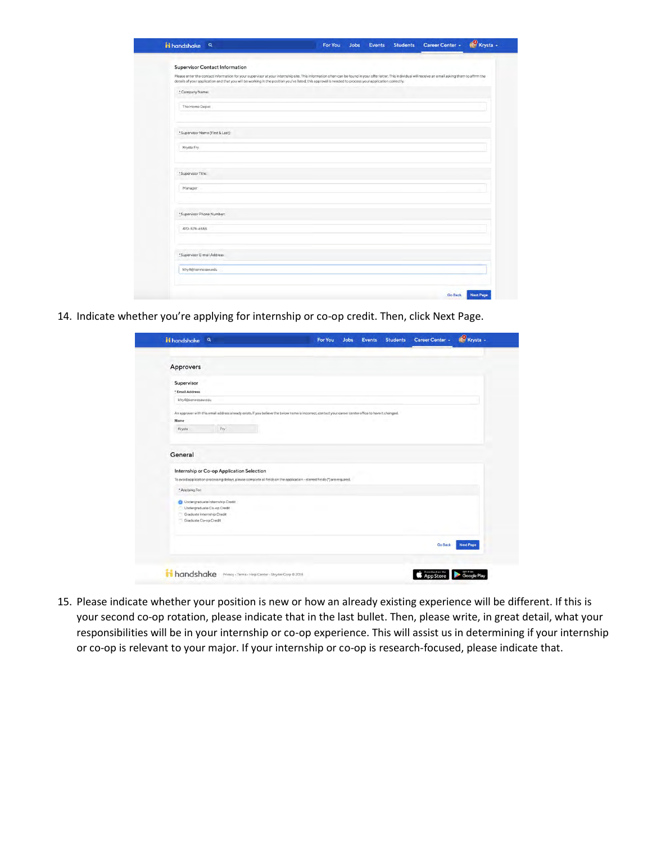| <b>Supervisor Contact Information</b><br>Please enter the contact information for your supervisor at your internship site. This information often can be found in your offer letter. This individual will receive an email asking them to affirm the<br>details of your application and that you will be working in the position you've listed; this approval is needed to process your application correctly.<br>* Company Name:<br>The Home Depot<br>* Supervisor Name (First & Last):<br>Krysta Fry<br>*Supervisor Title:<br>Manager<br>*Supervisor Phone Number:<br>470-578-6555 |  |
|--------------------------------------------------------------------------------------------------------------------------------------------------------------------------------------------------------------------------------------------------------------------------------------------------------------------------------------------------------------------------------------------------------------------------------------------------------------------------------------------------------------------------------------------------------------------------------------|--|
|                                                                                                                                                                                                                                                                                                                                                                                                                                                                                                                                                                                      |  |
|                                                                                                                                                                                                                                                                                                                                                                                                                                                                                                                                                                                      |  |
|                                                                                                                                                                                                                                                                                                                                                                                                                                                                                                                                                                                      |  |
|                                                                                                                                                                                                                                                                                                                                                                                                                                                                                                                                                                                      |  |
|                                                                                                                                                                                                                                                                                                                                                                                                                                                                                                                                                                                      |  |
|                                                                                                                                                                                                                                                                                                                                                                                                                                                                                                                                                                                      |  |
|                                                                                                                                                                                                                                                                                                                                                                                                                                                                                                                                                                                      |  |
|                                                                                                                                                                                                                                                                                                                                                                                                                                                                                                                                                                                      |  |
|                                                                                                                                                                                                                                                                                                                                                                                                                                                                                                                                                                                      |  |
|                                                                                                                                                                                                                                                                                                                                                                                                                                                                                                                                                                                      |  |
|                                                                                                                                                                                                                                                                                                                                                                                                                                                                                                                                                                                      |  |
|                                                                                                                                                                                                                                                                                                                                                                                                                                                                                                                                                                                      |  |
|                                                                                                                                                                                                                                                                                                                                                                                                                                                                                                                                                                                      |  |
|                                                                                                                                                                                                                                                                                                                                                                                                                                                                                                                                                                                      |  |
|                                                                                                                                                                                                                                                                                                                                                                                                                                                                                                                                                                                      |  |
|                                                                                                                                                                                                                                                                                                                                                                                                                                                                                                                                                                                      |  |
|                                                                                                                                                                                                                                                                                                                                                                                                                                                                                                                                                                                      |  |
| *Supervisor E-mail Address:                                                                                                                                                                                                                                                                                                                                                                                                                                                                                                                                                          |  |
| kfry4@kennesaw.edu                                                                                                                                                                                                                                                                                                                                                                                                                                                                                                                                                                   |  |

14. Indicate whether you're applying for internship or co-op credit. Then, click Next Page.

|                               | $\mathbf{Q}$                                                                                         | For You                                                                                                                  | Jobs | Events | <b>Students</b> | Career Center + | Krysta -         |
|-------------------------------|------------------------------------------------------------------------------------------------------|--------------------------------------------------------------------------------------------------------------------------|------|--------|-----------------|-----------------|------------------|
| Approvers                     |                                                                                                      |                                                                                                                          |      |        |                 |                 |                  |
| Supervisor<br>* Email Address |                                                                                                      |                                                                                                                          |      |        |                 |                 |                  |
| kfry4@kennesaw.edu            |                                                                                                      |                                                                                                                          |      |        |                 |                 |                  |
| Krysta<br>General             | Fry                                                                                                  |                                                                                                                          |      |        |                 |                 |                  |
|                               |                                                                                                      |                                                                                                                          |      |        |                 |                 |                  |
|                               | Internship or Co-op Application Selection                                                            | To avoid application processing delays, please complete all fields on the application - starred fields (*) are required. |      |        |                 |                 |                  |
| * Applying For:               |                                                                                                      |                                                                                                                          |      |        |                 |                 |                  |
| Graduate Co-op Credit         | <b>C</b> Undergraduate Internship Credit<br>Undergraduate Co-op Credit<br>Graduate Internship Credit |                                                                                                                          |      |        |                 |                 |                  |
|                               |                                                                                                      |                                                                                                                          |      |        |                 | <b>Go Back</b>  | <b>Next Page</b> |

15. Please indicate whether your position is new or how an already existing experience will be different. If this is your second co-op rotation, please indicate that in the last bullet. Then, please write, in great detail, what your responsibilities will be in your internship or co-op experience. This will assist us in determining if your internship or co-op is relevant to your major. If your internship or co-op is research-focused, please indicate that.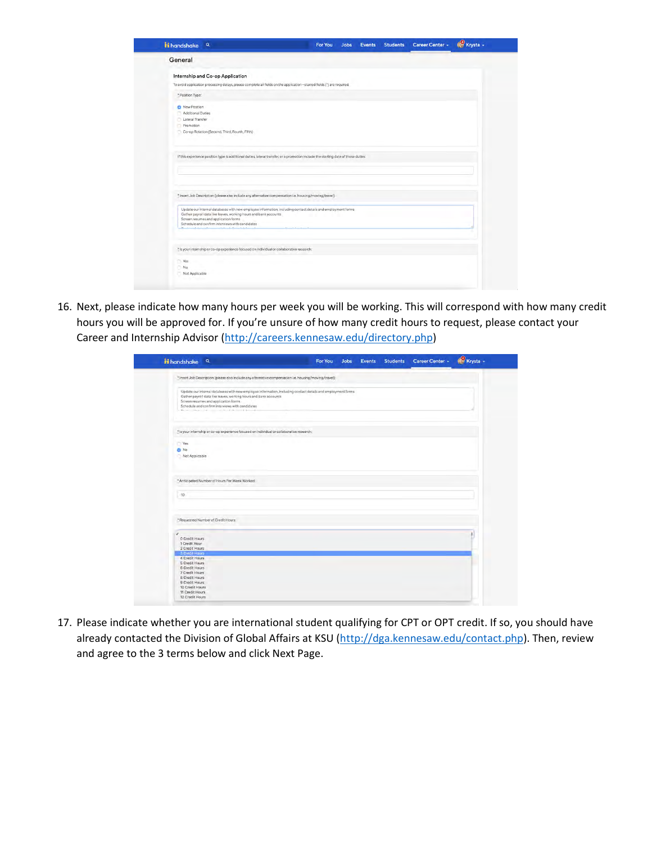| ii handshake Q                                                                                                                                                                  | For You | <b>Jobs</b> | <b>Events</b> | <b>Students</b> | Career Center - | Krysta - |
|---------------------------------------------------------------------------------------------------------------------------------------------------------------------------------|---------|-------------|---------------|-----------------|-----------------|----------|
| General                                                                                                                                                                         |         |             |               |                 |                 |          |
| Internship and Co-op Application                                                                                                                                                |         |             |               |                 |                 |          |
| To avoid application processing delays, please complete all fields on the application - starred fields (*) are required.                                                        |         |             |               |                 |                 |          |
| * Position Type:                                                                                                                                                                |         |             |               |                 |                 |          |
| New Position                                                                                                                                                                    |         |             |               |                 |                 |          |
| Additional Duties<br>Lateral Transfer                                                                                                                                           |         |             |               |                 |                 |          |
| Promotion                                                                                                                                                                       |         |             |               |                 |                 |          |
| Co-op Rotation (Second, Third, Fourth, Fifth)                                                                                                                                   |         |             |               |                 |                 |          |
|                                                                                                                                                                                 |         |             |               |                 |                 |          |
|                                                                                                                                                                                 |         |             |               |                 |                 |          |
| If this experience position type is additional duties, lateral transfer, or a promotion include the starting date of those duties:                                              |         |             |               |                 |                 |          |
|                                                                                                                                                                                 |         |             |               |                 |                 |          |
|                                                                                                                                                                                 |         |             |               |                 |                 |          |
|                                                                                                                                                                                 |         |             |               |                 |                 |          |
|                                                                                                                                                                                 |         |             |               |                 |                 |          |
| * Insert Job Description (please also include any alternative compensation i.e. housing/moving/travel):                                                                         |         |             |               |                 |                 |          |
|                                                                                                                                                                                 |         |             |               |                 |                 |          |
| Update our internal databases with new employee information, including contact details and employment forms<br>Gather payroll data like leaves, working hours and bank accounts |         |             |               |                 |                 |          |
| Screen resumes and application forms                                                                                                                                            |         |             |               |                 |                 |          |
| Schedule and confirm interviews with candidates                                                                                                                                 |         |             |               |                 |                 |          |
|                                                                                                                                                                                 |         |             |               |                 |                 |          |
|                                                                                                                                                                                 |         |             |               |                 |                 |          |
| * Is your internship or co-op experience focused on individual or collaborative research:                                                                                       |         |             |               |                 |                 |          |
| Ves                                                                                                                                                                             |         |             |               |                 |                 |          |
| No.                                                                                                                                                                             |         |             |               |                 |                 |          |
|                                                                                                                                                                                 |         |             |               |                 |                 |          |

16. Next, please indicate how many hours per week you will be working. This will correspond with how many credit hours you will be approved for. If you're unsure of how many credit hours to request, please contact your Career and Internship Advisor [\(http://careers.kennesaw.edu/directory.php\)](http://careers.kennesaw.edu/directory.php)

| <b>Hi</b> handshake a                                                                                                                                                                                                                                                                                                                                                                        | <b>For You</b> | Jobs | <b>Events</b> | <b>Students</b> | Career Center + | Krysta - |
|----------------------------------------------------------------------------------------------------------------------------------------------------------------------------------------------------------------------------------------------------------------------------------------------------------------------------------------------------------------------------------------------|----------------|------|---------------|-----------------|-----------------|----------|
| * Insert Job Description (please also include any alternative compensation i.e. housing/moving/travel):                                                                                                                                                                                                                                                                                      |                |      |               |                 |                 |          |
| Update our internal databases with new employee information, including contact details and employment forms<br>Gather payroll data like leaves, working hours and bank accounts<br>Screen resumes and application forms<br>Schedule and confirm interviews with candidates<br>We have a company of the company's first that the product of the company's state of the company's state of the |                |      |               |                 |                 |          |
| * Is your internship or co-op experience focused on individual or collaborative research:                                                                                                                                                                                                                                                                                                    |                |      |               |                 |                 |          |
| Yes<br>O No<br>Not Applicable                                                                                                                                                                                                                                                                                                                                                                |                |      |               |                 |                 |          |
| <sup>8</sup> Anticipated Number of Hours Per Week Worked:                                                                                                                                                                                                                                                                                                                                    |                |      |               |                 |                 |          |
| 10 <sup>1</sup>                                                                                                                                                                                                                                                                                                                                                                              |                |      |               |                 |                 |          |
| <sup>1</sup> Requested Number of Credit Hours:                                                                                                                                                                                                                                                                                                                                               |                |      |               |                 |                 |          |
| v<br>0 Credit Hours<br>1 Credit Hour<br>2 Credit Hours                                                                                                                                                                                                                                                                                                                                       |                |      |               |                 |                 | ÷        |
| 3 Credit Hours<br>4 Credit Hours<br>5 Credit Hours<br>6 Credit Hours<br>7 Credit Hours<br>8 Credit Hours<br>9 Credit Hours<br>10 Credit Hours                                                                                                                                                                                                                                                |                |      |               |                 |                 |          |

17. Please indicate whether you are international student qualifying for CPT or OPT credit. If so, you should have already contacted the Division of Global Affairs at KSU [\(http://dga.kennesaw.edu/contact.php\)](http://dga.kennesaw.edu/contact.php). Then, review and agree to the 3 terms below and click Next Page.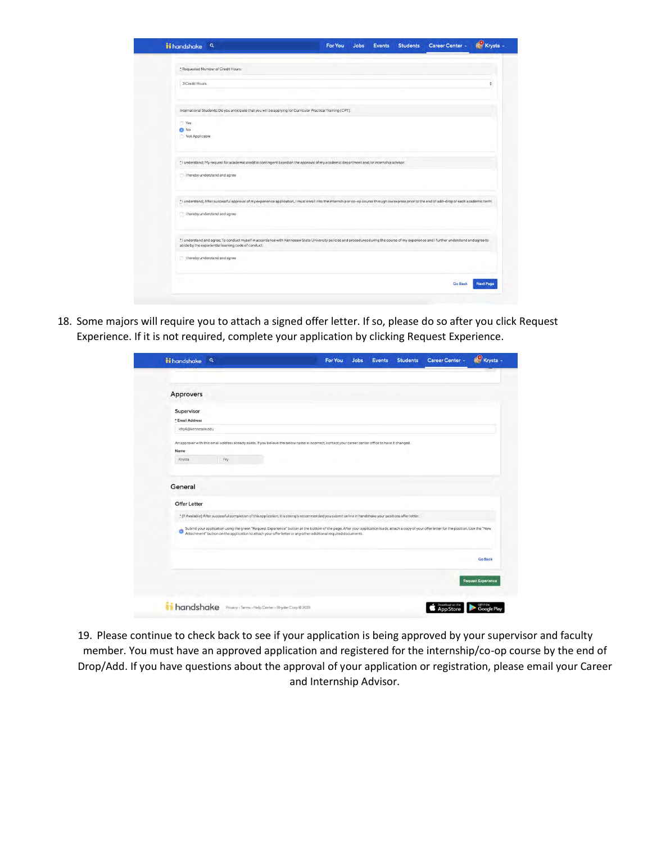| <b>ii</b> handshake<br>$\mathbf{Q}$                                                                                                                                                              | For You | <b>Jobs</b> | Events | <b>Students</b> | Career Center - | Krysta -         |
|--------------------------------------------------------------------------------------------------------------------------------------------------------------------------------------------------|---------|-------------|--------|-----------------|-----------------|------------------|
| * Requested Number of Credit Hours:                                                                                                                                                              |         |             |        |                 |                 |                  |
|                                                                                                                                                                                                  |         |             |        |                 |                 |                  |
| 3 Credit Hours                                                                                                                                                                                   |         |             |        |                 |                 | ă                |
|                                                                                                                                                                                                  |         |             |        |                 |                 |                  |
| International Students: Do you anticipate that you will be applying for Curricular Practical Training (CPT):                                                                                     |         |             |        |                 |                 |                  |
| Ves                                                                                                                                                                                              |         |             |        |                 |                 |                  |
| <b>D</b> No                                                                                                                                                                                      |         |             |        |                 |                 |                  |
| Not Applicable                                                                                                                                                                                   |         |             |        |                 |                 |                  |
| * I understand; My request for academic credit is contingent based on the approval of my academic department and/or internship advisor:                                                          |         |             |        |                 |                 |                  |
| T I hereby understand and agree                                                                                                                                                                  |         |             |        |                 |                 |                  |
| * I understand; After successful approval of my experience application, I must enroll into the internship or co-op course through owlexpress prior to the end of add-drop of each academic term: |         |             |        |                 |                 |                  |
| I hereby understand and agree                                                                                                                                                                    |         |             |        |                 |                 |                  |
| * I understand and agree, To conduct myself in accordance with Kennesaw State University policies and procedures during the course of my experience and I further understand and agree to        |         |             |        |                 |                 |                  |
| abide by the experiential learning code of conduct:                                                                                                                                              |         |             |        |                 |                 |                  |
| hereby understand and agree                                                                                                                                                                      |         |             |        |                 |                 |                  |
|                                                                                                                                                                                                  |         |             |        |                 | <b>Go Back</b>  | <b>Next Page</b> |

18. Some majors will require you to attach a signed offer letter. If so, please do so after you click Request Experience. If it is not required, complete your application by clicking Request Experience.

|                                                                                                                                                                                                                                        |  | <b>Events</b> | <b>Students</b> | Career Center -          | Krysta -                  |
|----------------------------------------------------------------------------------------------------------------------------------------------------------------------------------------------------------------------------------------|--|---------------|-----------------|--------------------------|---------------------------|
|                                                                                                                                                                                                                                        |  |               |                 |                          |                           |
| Approvers                                                                                                                                                                                                                              |  |               |                 |                          |                           |
| Supervisor                                                                                                                                                                                                                             |  |               |                 |                          |                           |
| * Email Address                                                                                                                                                                                                                        |  |               |                 |                          |                           |
| kfry4@kennesaw.edu                                                                                                                                                                                                                     |  |               |                 |                          |                           |
| An approver with this email address already exists. If you believe the below name is incorrect, contact your career center office to have it changed.                                                                                  |  |               |                 |                          |                           |
| Name                                                                                                                                                                                                                                   |  |               |                 |                          |                           |
| Fry<br>Krysta                                                                                                                                                                                                                          |  |               |                 |                          |                           |
|                                                                                                                                                                                                                                        |  |               |                 |                          |                           |
| Offer Letter                                                                                                                                                                                                                           |  |               |                 |                          |                           |
| * (If Available) After successful completion of this application, it is strongly recommended you submit online in handshake your positions offer letter:                                                                               |  |               |                 |                          |                           |
| Submit your application using the green "Request Experience" button af the bottom of the page. After your application loads, attach a copy of your offer letter for the position. Use the "New<br>Attachment" button on the appli<br>۰ |  |               |                 |                          |                           |
|                                                                                                                                                                                                                                        |  |               |                 |                          | <b>Go Back</b>            |
|                                                                                                                                                                                                                                        |  |               |                 |                          | <b>Request Experience</b> |
|                                                                                                                                                                                                                                        |  |               |                 |                          |                           |
| handshake Privacy - Terms - Help Center - Stryder Corp @ 2018                                                                                                                                                                          |  |               |                 | <b>S</b> Download on the | GITTON<br>Google Play     |

19. Please continue to check back to see if your application is being approved by your supervisor and faculty member. You must have an approved application and registered for the internship/co-op course by the end of Drop/Add. If you have questions about the approval of your application or registration, please email your Career and Internship Advisor.